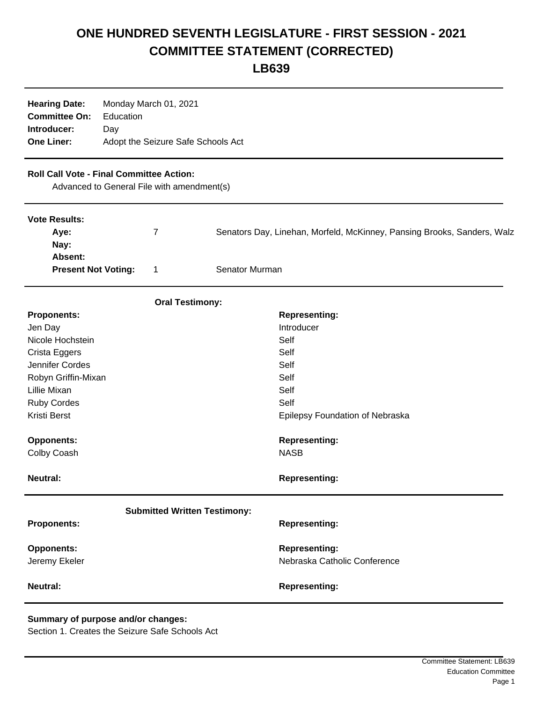## **ONE HUNDRED SEVENTH LEGISLATURE - FIRST SESSION - 2021 COMMITTEE STATEMENT (CORRECTED)**

**LB639**

| <b>Hearing Date:</b><br><b>Committee On:</b><br>Introducer:<br><b>One Liner:</b>              | Monday March 01, 2021<br>Education<br>Day<br>Adopt the Seizure Safe Schools Act |   |                |                                                                         |
|-----------------------------------------------------------------------------------------------|---------------------------------------------------------------------------------|---|----------------|-------------------------------------------------------------------------|
| <b>Roll Call Vote - Final Committee Action:</b><br>Advanced to General File with amendment(s) |                                                                                 |   |                |                                                                         |
| <b>Vote Results:</b><br>Aye:<br>Nay:<br>Absent:                                               |                                                                                 | 7 |                | Senators Day, Linehan, Morfeld, McKinney, Pansing Brooks, Sanders, Walz |
| <b>Present Not Voting:</b>                                                                    |                                                                                 | 1 | Senator Murman |                                                                         |
| <b>Oral Testimony:</b>                                                                        |                                                                                 |   |                |                                                                         |
| <b>Proponents:</b>                                                                            |                                                                                 |   |                | <b>Representing:</b>                                                    |
| Jen Day                                                                                       |                                                                                 |   |                | Introducer                                                              |
| Nicole Hochstein                                                                              |                                                                                 |   |                | Self                                                                    |
| Crista Eggers                                                                                 |                                                                                 |   |                | Self                                                                    |
| Jennifer Cordes                                                                               |                                                                                 |   |                | Self                                                                    |
| Robyn Griffin-Mixan                                                                           |                                                                                 |   |                | Self                                                                    |
| Lillie Mixan                                                                                  |                                                                                 |   |                | Self                                                                    |
| Ruby Cordes                                                                                   |                                                                                 |   |                | Self                                                                    |
| Kristi Berst                                                                                  |                                                                                 |   |                | Epilepsy Foundation of Nebraska                                         |
| <b>Opponents:</b>                                                                             |                                                                                 |   |                | <b>Representing:</b>                                                    |
| Colby Coash                                                                                   |                                                                                 |   |                | <b>NASB</b>                                                             |
| <b>Neutral:</b>                                                                               |                                                                                 |   |                | <b>Representing:</b>                                                    |
| <b>Submitted Written Testimony:</b>                                                           |                                                                                 |   |                |                                                                         |
| <b>Proponents:</b>                                                                            |                                                                                 |   |                | <b>Representing:</b>                                                    |
| <b>Opponents:</b>                                                                             |                                                                                 |   |                | <b>Representing:</b>                                                    |
| Jeremy Ekeler                                                                                 |                                                                                 |   |                | Nebraska Catholic Conference                                            |
| <b>Neutral:</b>                                                                               |                                                                                 |   |                | <b>Representing:</b>                                                    |

## **Summary of purpose and/or changes:**

Section 1. Creates the Seizure Safe Schools Act